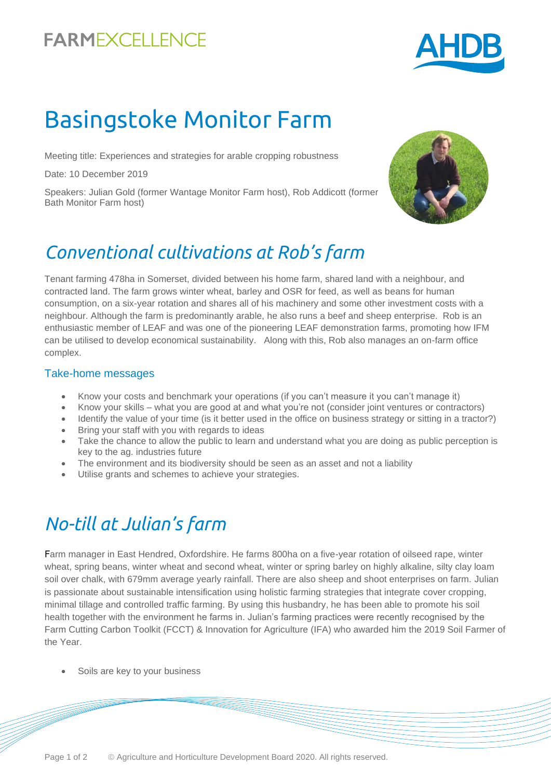## **FARMEXCELLENCE**



# Basingstoke Monitor Farm

Meeting title: Experiences and strategies for arable cropping robustness

Date: 10 December 2019

Speakers: Julian Gold (former Wantage Monitor Farm host), Rob Addicott (former Bath Monitor Farm host)



### *Conventional cultivations at Rob's farm*

Tenant farming 478ha in Somerset, divided between his home farm, shared land with a neighbour, and contracted land. The farm grows winter wheat, barley and OSR for feed, as well as beans for human consumption, on a six-year rotation and shares all of his machinery and some other investment costs with a neighbour. Although the farm is predominantly arable, he also runs a beef and sheep enterprise. Rob is an enthusiastic member of LEAF and was one of the pioneering LEAF demonstration farms, promoting how IFM can be utilised to develop economical sustainability. Along with this, Rob also manages an on-farm office complex.

#### Take-home messages

- Know your costs and benchmark your operations (if you can't measure it you can't manage it)
- Know your skills what you are good at and what you're not (consider joint ventures or contractors)
- Identify the value of your time (is it better used in the office on business strategy or sitting in a tractor?)
- Bring your staff with you with regards to ideas
- Take the chance to allow the public to learn and understand what you are doing as public perception is key to the ag. industries future
- The environment and its biodiversity should be seen as an asset and not a liability
- Utilise grants and schemes to achieve your strategies.

# *No-till at Julian's farm*

Farm manager in East Hendred, Oxfordshire. He farms 800ha on a five-year rotation of oilseed rape, winter wheat, spring beans, winter wheat and second wheat, winter or spring barley on highly alkaline, silty clay loam soil over chalk, with 679mm average yearly rainfall. There are also sheep and shoot enterprises on farm. Julian is passionate about sustainable intensification using holistic farming strategies that integrate cover cropping, minimal tillage and controlled traffic farming. By using this husbandry, he has been able to promote his soil health together with the environment he farms in. Julian's farming practices were recently recognised by the Farm Cutting Carbon Toolkit (FCCT) & Innovation for Agriculture (IFA) who awarded him the 2019 Soil Farmer of the Year.

Soils are key to your business